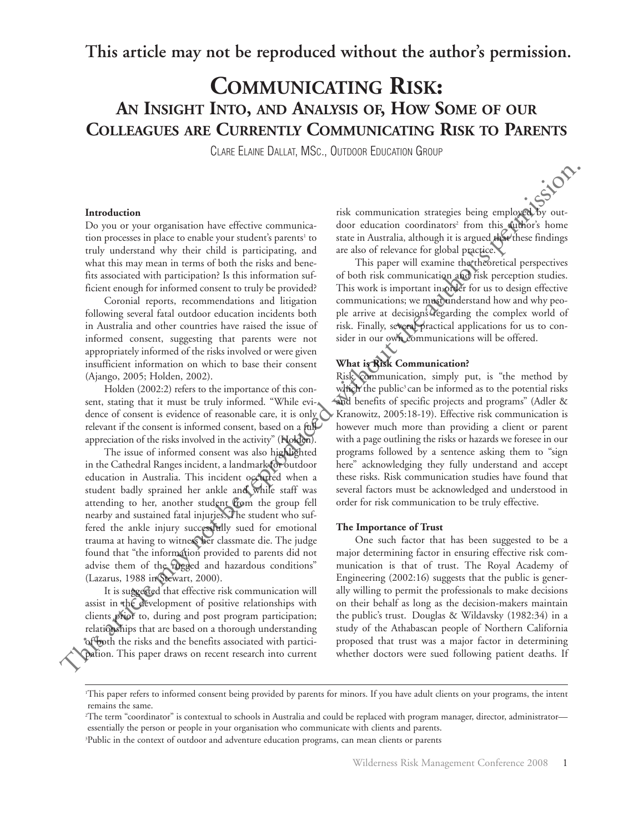**This article may not be reproduced without the author's permission.**

# **COMMUNICATING RISK: AN INSIGHT INTO, AND ANALYSIS OF, HOW SOME OF OUR COLLEAGUES ARE CURRENTLY COMMUNICATING RISK TO PARENTS**

CLARE ELAINE DALLAT, MSC., OUTDOOR EDUCATION GROUP

## **Introduction**

Do you or your organisation have effective communication processes in place to enable your student's parents<sup>1</sup> to truly understand why their child is participating, and what this may mean in terms of both the risks and benefits associated with participation? Is this information sufficient enough for informed consent to truly be provided?

Coronial reports, recommendations and litigation following several fatal outdoor education incidents both in Australia and other countries have raised the issue of informed consent, suggesting that parents were not appropriately informed of the risks involved or were given insufficient information on which to base their consent (Ajango, 2005; Holden, 2002).

Holden (2002:2) refers to the importance of this consent, stating that it must be truly informed. "While evidence of consent is evidence of reasonable care, it is only relevant if the consent is informed consent, based on a full appreciation of the risks involved in the activity" (Holden).

The issue of informed consent was also highlighted in the Cathedral Ranges incident, a landmark for outdoor education in Australia. This incident occurred when a student badly sprained her ankle and while staff was attending to her, another student from the group fell nearby and sustained fatal injuries. The student who suffered the ankle injury successfully sued for emotional trauma at having to witness her classmate die. The judge found that "the information provided to parents did not advise them of the rugged and hazardous conditions" (Lazarus, 1988 in Stewart, 2000).

It is suggested that effective risk communication will assist in the development of positive relationships with clients prior to, during and post program participation; relationships that are based on a thorough understanding of both the risks and the benefits associated with participation. This paper draws on recent research into current risk communication strategies being employed by outdoor education coordinators<sup>2</sup> from this author's home state in Australia, although it is argued that these findings are also of relevance for global practice.

This paper will examine the theoretical perspectives of both risk communication and risk perception studies. This work is important in order for us to design effective communications; we must understand how and why people arrive at decisions regarding the complex world of risk. Finally, several practical applications for us to consider in our own communications will be offered.

#### **What is Risk Communication?**

Risk communication, simply put, is "the method by which the public<sup>3</sup> can be informed as to the potential risks and benefits of specific projects and programs" (Adler & Kranowitz, 2005:18-19). Effective risk communication is however much more than providing a client or parent with a page outlining the risks or hazards we foresee in our programs followed by a sentence asking them to "sign here" acknowledging they fully understand and accept these risks. Risk communication studies have found that several factors must be acknowledged and understood in order for risk communication to be truly effective. Introduction<br>
Distribution three firstive communics-<br>
this communication strategies being employed by ourselve on the controll of the process<br>or in particular and authors have the controllange with this analysis are the s

#### **The Importance of Trust**

One such factor that has been suggested to be a major determining factor in ensuring effective risk communication is that of trust. The Royal Academy of Engineering (2002:16) suggests that the public is generally willing to permit the professionals to make decisions on their behalf as long as the decision-makers maintain the public's trust. Douglas & Wildavsky (1982:34) in a study of the Athabascan people of Northern California proposed that trust was a major factor in determining whether doctors were sued following patient deaths. If

2 The term "coordinator" is contextual to schools in Australia and could be replaced with program manager, director, administrator essentially the person or people in your organisation who communicate with clients and parents.

3 Public in the context of outdoor and adventure education programs, can mean clients or parents

<sup>1</sup> This paper refers to informed consent being provided by parents for minors. If you have adult clients on your programs, the intent remains the same.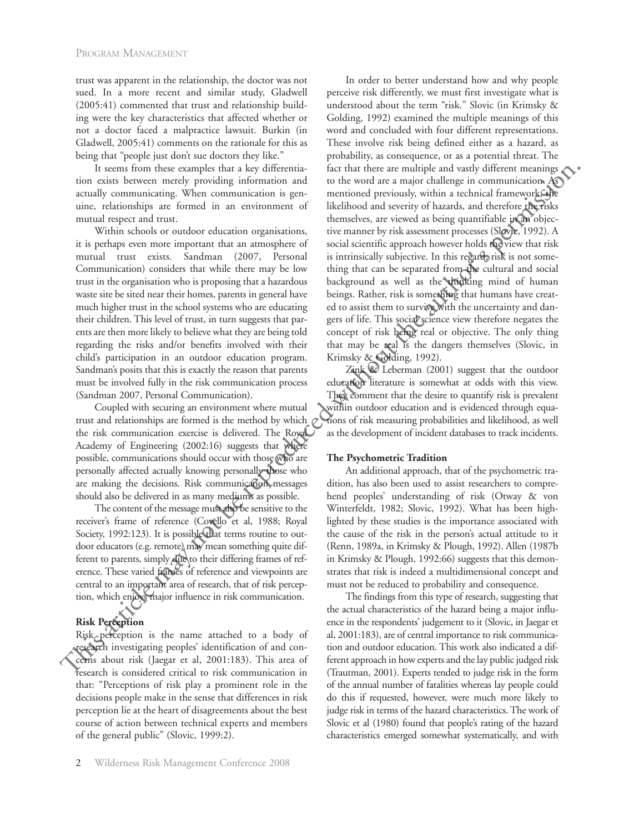trust was apparent in the relationship, the doctor was not sued. In a more recent and similar study, Gladwell (2005:41) commented that trust and relationship building were the key characteristics that affected whether or not a doctor faced a malpractice lawsuit. Burkin (in Gladwell, 2005:41) comments on the rationale for this as being that "people just don't sue doctors they like."

It seems from these examples that a key differentiation exists between merely providing information and actually communicating. When communication is genuine, relationships are formed in an environment of mutual respect and trust.

Within schools or outdoor education organisations, it is perhaps even more important that an atmosphere of mutual trust exists. Sandman (2007, Personal Communication) considers that while there may be low trust in the organisation who is proposing that a hazardous waste site be sited near their homes, parents in general have much higher trust in the school systems who are educating their children. This level of trust, in turn suggests that parents are then more likely to believe what they are being told regarding the risks and/or benefits involved with their child's participation in an outdoor education program. Sandman's posits that this is exactly the reason that parents must be involved fully in the risk communication process (Sandman 2007, Personal Communication).

Coupled with securing an environment where mutual trust and relationships are formed is the method by which the risk communication exercise is delivered. The Royal Academy of Engineering (2002:16) suggests that where possible, communications should occur with those who are personally affected actually knowing personally those who are making the decisions. Risk communication messages should also be delivered in as many mediums as possible.

The content of the message must also be sensitive to the receiver's frame of reference (Covello et al, 1988; Royal Society, 1992:123). It is possible that terms routine to outdoor educators (e.g. remote) may mean something quite different to parents, simply due to their differing frames of reference. These varied frames of reference and viewpoints are central to an important area of research, that of risk perception, which enjoys major influence in risk communication.

## **Risk Perception**

Risk perception is the name attached to a body of research investigating peoples' identification of and concerns about risk (Jaegar et al, 2001:183). This area of research is considered critical to risk communication in that: "Perceptions of risk play a prominent role in the decisions people make in the sense that differences in risk perception lie at the heart of disagreements about the best course of action between technical experts and members of the general public" (Slovic, 1999:2).

beings. Rather, risk is something that humans have created to assist them to survive with the uncertainty and dangers of life. This social science view therefore negates the concept of risk being real or objective. The only thing that may be real is the dangers themselves (Slovic, in Krimsky & Golding, 1992). Zink & Leberman (2001) suggest that the outdoor education literature is somewhat at odds with this view. **The Psychometric Tradition** It cannell means that the first may have a line of the may not<br>interest meaning the served proposition from the served and alternation and the resume of the may different manifold communication. A since the served with a

They comment that the desire to quantify risk is prevalent within outdoor education and is evidenced through equations of risk measuring probabilities and likelihood, as well as the development of incident databases to track incidents.

In order to better understand how and why people perceive risk differently, we must first investigate what is understood about the term "risk." Slovic (in Krimsky & Golding, 1992) examined the multiple meanings of this word and concluded with four different representations. These involve risk being defined either as a hazard, as probability, as consequence, or as a potential threat. The fact that there are multiple and vastly different meanings to the word are a major challenge in communication. As mentioned previously, within a technical framework, the likelihood and severity of hazards, and therefore the risks themselves, are viewed as being quantifiable in an objective manner by risk assessment processes (Slovic, 1992). A social scientific approach however holds the view that risk is intrinsically subjective. In this regard, risk is not something that can be separated from the cultural and social background as well as the thinking mind of human

An additional approach, that of the psychometric tradition, has also been used to assist researchers to comprehend peoples' understanding of risk (Otway & von Winterfeldt, 1982; Slovic, 1992). What has been highlighted by these studies is the importance associated with the cause of the risk in the person's actual attitude to it (Renn, 1989a, in Krimsky & Plough, 1992). Allen (1987b in Krimsky & Plough, 1992:66) suggests that this demonstrates that risk is indeed a multidimensional concept and must not be reduced to probability and consequence.

The findings from this type of research, suggesting that the actual characteristics of the hazard being a major influence in the respondents' judgement to it (Slovic, in Jaegar et al, 2001:183), are of central importance to risk communication and outdoor education. This work also indicated a different approach in how experts and the lay public judged risk (Trautman, 2001). Experts tended to judge risk in the form of the annual number of fatalities whereas lay people could do this if requested, however, were much more likely to judge risk in terms of the hazard characteristics. The work of Slovic et al (1980) found that people's rating of the hazard characteristics emerged somewhat systematically, and with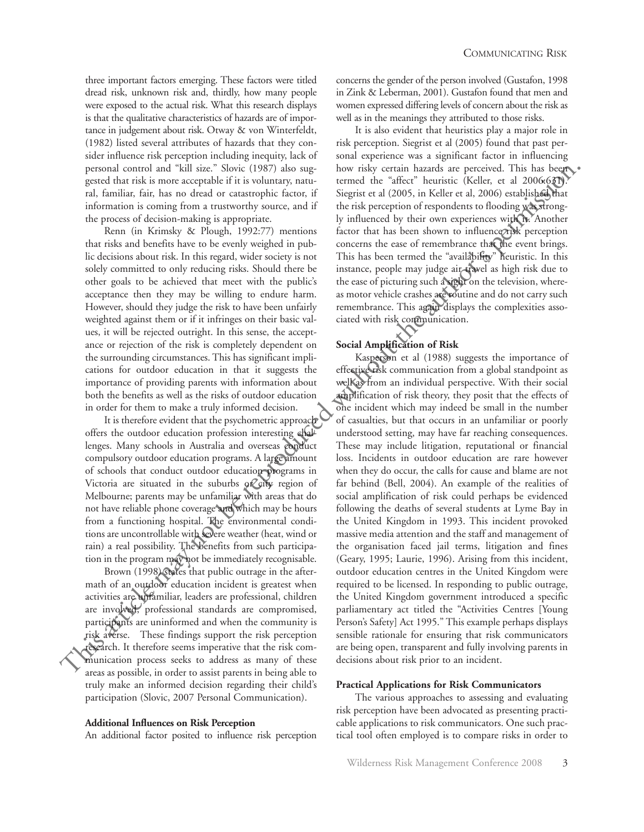three important factors emerging. These factors were titled dread risk, unknown risk and, thirdly, how many people were exposed to the actual risk. What this research displays is that the qualitative characteristics of hazards are of importance in judgement about risk. Otway & von Winterfeldt, (1982) listed several attributes of hazards that they consider influence risk perception including inequity, lack of personal control and "kill size." Slovic (1987) also suggested that risk is more acceptable if it is voluntary, natural, familiar, fair, has no dread or catastrophic factor, if information is coming from a trustworthy source, and if the process of decision-making is appropriate.

Renn (in Krimsky & Plough, 1992:77) mentions that risks and benefits have to be evenly weighed in public decisions about risk. In this regard, wider society is not solely committed to only reducing risks. Should there be other goals to be achieved that meet with the public's acceptance then they may be willing to endure harm. However, should they judge the risk to have been unfairly weighted against them or if it infringes on their basic values, it will be rejected outright. In this sense, the acceptance or rejection of the risk is completely dependent on the surrounding circumstances. This has significant implications for outdoor education in that it suggests the importance of providing parents with information about both the benefits as well as the risks of outdoor education in order for them to make a truly informed decision.

It is therefore evident that the psychometric approach offers the outdoor education profession interesting challenges. Many schools in Australia and overseas conduct compulsory outdoor education programs. A large amount of schools that conduct outdoor education programs in Victoria are situated in the suburbs or city region of Melbourne; parents may be unfamiliar with areas that do not have reliable phone coverage and which may be hours from a functioning hospital. The environmental conditions are uncontrollable with severe weather (heat, wind or rain) a real possibility. The benefits from such participation in the program may not be immediately recognisable.

Brown (1998) states that public outrage in the aftermath of an outdoor education incident is greatest when activities are unfamiliar, leaders are professional, children are involved, professional standards are compromised, participants are uninformed and when the community is risk averse. These findings support the risk perception research. It therefore seems imperative that the risk communication process seeks to address as many of these areas as possible, in order to assist parents in being able to truly make an informed decision regarding their child's participation (Slovic, 2007 Personal Communication).

#### **Additional Influences on Risk Perception**

An additional factor posited to influence risk perception

concerns the gender of the person involved (Gustafon, 1998 in Zink & Leberman, 2001). Gustafon found that men and women expressed differing levels of concern about the risk as well as in the meanings they attributed to those risks.

It is also evident that heuristics play a major role in risk perception. Siegrist et al (2005) found that past personal experience was a significant factor in influencing how risky certain hazards are perceived. This has been termed the "affect" heuristic (Keller, et al 2006:631). Siegrist et al (2005, in Keller et al, 2006) established that the risk perception of respondents to flooding was strongly influenced by their own experiences with it. Another factor that has been shown to influence risk perception concerns the ease of remembrance that the event brings. This has been termed the "availability" heuristic. In this instance, people may judge air travel as high risk due to the ease of picturing such a sight on the television, whereas motor vehicle crashes are routine and do not carry such remembrance. This again displays the complexities associated with risk communication.

#### **Social Amplification of Risk**

Kasperson et al (1988) suggests the importance of effective risk communication from a global standpoint as well as from an individual perspective. With their social amplification of risk theory, they posit that the effects of one incident which may indeed be small in the number of casualties, but that occurs in an unfamiliar or poorly understood setting, may have far reaching consequences. These may include litigation, reputational or financial loss. Incidents in outdoor education are rare however when they do occur, the calls for cause and blame are not far behind (Bell, 2004). An example of the realities of social amplification of risk could perhaps be evidenced following the deaths of several students at Lyme Bay in the United Kingdom in 1993. This incident provoked massive media attention and the staff and management of the organisation faced jail terms, litigation and fines (Geary, 1995; Laurie, 1996). Arising from this incident, outdoor education centres in the United Kingdom were required to be licensed. In responding to public outrage, the United Kingdom government introduced a specific parliamentary act titled the "Activities Centres [Young Person's Safety] Act 1995." This example perhaps displays sensible rationale for ensuring that risk communicators are being open, transparent and fully involving parents in decisions about risk prior to an incident. personal contour and "kital since". Social 1997; also weakly contain luxurate and the best contents of the singular since the representation in the factor. This has the singular function in the rest of electron of the sin

#### **Practical Applications for Risk Communicators**

The various approaches to assessing and evaluating risk perception have been advocated as presenting practicable applications to risk communicators. One such practical tool often employed is to compare risks in order to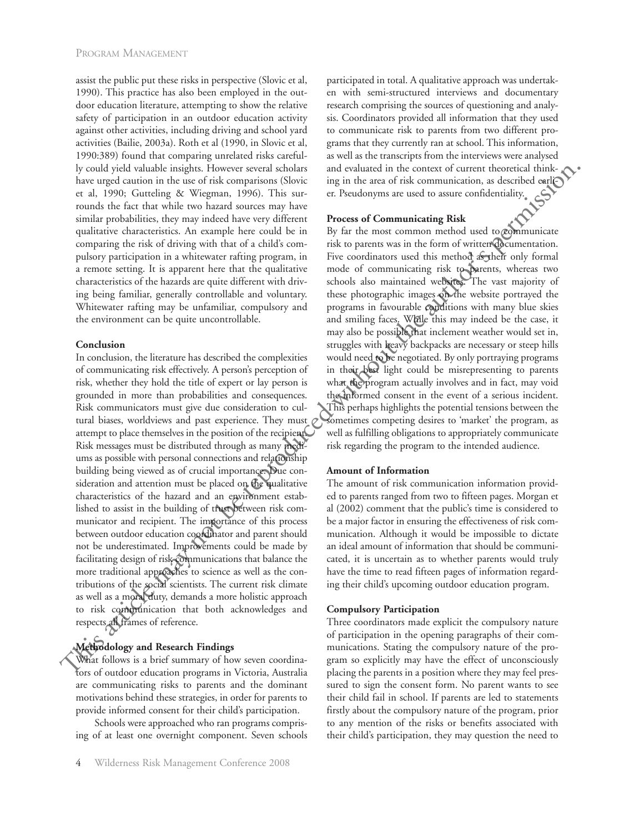assist the public put these risks in perspective (Slovic et al, 1990). This practice has also been employed in the outdoor education literature, attempting to show the relative safety of participation in an outdoor education activity against other activities, including driving and school yard activities (Bailie, 2003a). Roth et al (1990, in Slovic et al, 1990:389) found that comparing unrelated risks carefully could yield valuable insights. However several scholars have urged caution in the use of risk comparisons (Slovic et al, 1990; Gutteling & Wiegman, 1996). This surrounds the fact that while two hazard sources may have similar probabilities, they may indeed have very different qualitative characteristics. An example here could be in comparing the risk of driving with that of a child's compulsory participation in a whitewater rafting program, in a remote setting. It is apparent here that the qualitative characteristics of the hazards are quite different with driving being familiar, generally controllable and voluntary. Whitewater rafting may be unfamiliar, compulsory and the environment can be quite uncontrollable.

## **Conclusion**

In conclusion, the literature has described the complexities of communicating risk effectively. A person's perception of risk, whether they hold the title of expert or lay person is grounded in more than probabilities and consequences. Risk communicators must give due consideration to cultural biases, worldviews and past experience. They must attempt to place themselves in the position of the recipient. Risk messages must be distributed through as many mediums as possible with personal connections and relationship building being viewed as of crucial importance. Due consideration and attention must be placed on the qualitative characteristics of the hazard and an environment established to assist in the building of trust between risk communicator and recipient. The importance of this process between outdoor education coordinator and parent should not be underestimated. Improvements could be made by facilitating design of risk communications that balance the more traditional approaches to science as well as the contributions of the social scientists. The current risk climate as well as a moral duty, demands a more holistic approach to risk communication that both acknowledges and respects all frames of reference. by could yield with inequires the contents were also due to the content of the content of the content of the content of the content of the content of the content of the content of the content of the content of the content

# **Methodology and Research Findings**

What follows is a brief summary of how seven coordinators of outdoor education programs in Victoria, Australia are communicating risks to parents and the dominant motivations behind these strategies, in order for parents to provide informed consent for their child's participation.

Schools were approached who ran programs comprising of at least one overnight component. Seven schools participated in total. A qualitative approach was undertaken with semi-structured interviews and documentary research comprising the sources of questioning and analysis. Coordinators provided all information that they used to communicate risk to parents from two different programs that they currently ran at school. This information, as well as the transcripts from the interviews were analysed and evaluated in the context of current theoretical thinking in the area of risk communication, as described earlier. Pseudonyms are used to assure confidentiality.

## **Process of Communicating Risk**

By far the most common method used to communicate risk to parents was in the form of written documentation. Five coordinators used this method as their only formal mode of communicating risk to parents, whereas two schools also maintained websites. The vast majority of these photographic images on the website portrayed the programs in favourable conditions with many blue skies and smiling faces. While this may indeed be the case, it may also be possible that inclement weather would set in, struggles with heavy backpacks are necessary or steep hills would need to be negotiated. By only portraying programs in their best light could be misrepresenting to parents what the program actually involves and in fact, may void the informed consent in the event of a serious incident. This perhaps highlights the potential tensions between the sometimes competing desires to 'market' the program, as well as fulfilling obligations to appropriately communicate risk regarding the program to the intended audience.

## **Amount of Information**

The amount of risk communication information provided to parents ranged from two to fifteen pages. Morgan et al (2002) comment that the public's time is considered to be a major factor in ensuring the effectiveness of risk communication. Although it would be impossible to dictate an ideal amount of information that should be communicated, it is uncertain as to whether parents would truly have the time to read fifteen pages of information regarding their child's upcoming outdoor education program.

#### **Compulsory Participation**

Three coordinators made explicit the compulsory nature of participation in the opening paragraphs of their communications. Stating the compulsory nature of the program so explicitly may have the effect of unconsciously placing the parents in a position where they may feel pressured to sign the consent form. No parent wants to see their child fail in school. If parents are led to statements firstly about the compulsory nature of the program, prior to any mention of the risks or benefits associated with their child's participation, they may question the need to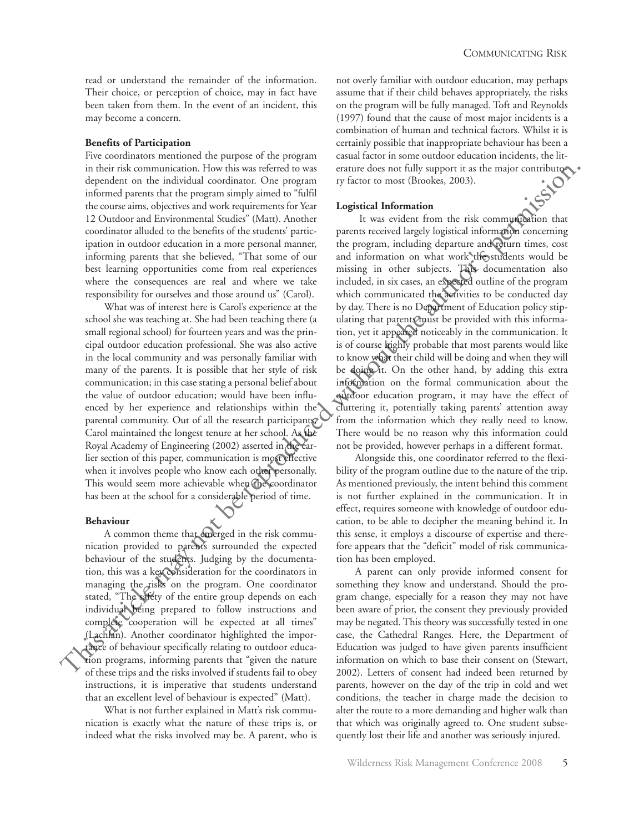read or understand the remainder of the information. Their choice, or perception of choice, may in fact have been taken from them. In the event of an incident, this may become a concern.

### **Benefits of Participation**

Five coordinators mentioned the purpose of the program in their risk communication. How this was referred to was dependent on the individual coordinator. One program informed parents that the program simply aimed to "fulfil the course aims, objectives and work requirements for Year 12 Outdoor and Environmental Studies" (Matt). Another coordinator alluded to the benefits of the students' participation in outdoor education in a more personal manner, informing parents that she believed, "That some of our best learning opportunities come from real experiences where the consequences are real and where we take responsibility for ourselves and those around us" (Carol).

What was of interest here is Carol's experience at the school she was teaching at. She had been teaching there (a small regional school) for fourteen years and was the principal outdoor education professional. She was also active in the local community and was personally familiar with many of the parents. It is possible that her style of risk communication; in this case stating a personal belief about the value of outdoor education; would have been influenced by her experience and relationships within the parental community. Out of all the research participants, Carol maintained the longest tenure at her school. As the Royal Academy of Engineering (2002) asserted in the earlier section of this paper, communication is most effective when it involves people who know each other personally. This would seem more achievable when the coordinator has been at the school for a considerable period of time.

#### **Behaviour**

A common theme that emerged in the risk communication provided to parents surrounded the expected behaviour of the students. Judging by the documentation, this was a key consideration for the coordinators in managing the risks on the program. One coordinator stated, "The safety of the entire group depends on each individual being prepared to follow instructions and complete cooperation will be expected at all times" (Lachlan). Another coordinator highlighted the importance of behaviour specifically relating to outdoor education programs, informing parents that "given the nature of these trips and the risks involved if students fail to obey instructions, it is imperative that students understand that an excellent level of behaviour is expected" (Matt).

What is not further explained in Matt's risk communication is exactly what the nature of these trips is, or indeed what the risks involved may be. A parent, who is

not overly familiar with outdoor education, may perhaps assume that if their child behaves appropriately, the risks on the program will be fully managed. Toft and Reynolds (1997) found that the cause of most major incidents is a combination of human and technical factors. Whilst it is certainly possible that inappropriate behaviour has been a casual factor in some outdoor education incidents, the literature does not fully support it as the major contributory factor to most (Brookes, 2003).

#### **Logistical Information**

It was evident from the risk communication that parents received largely logistical information concerning the program, including departure and return times, cost and information on what work the students would be missing in other subjects. This documentation also included, in six cases, an expected outline of the program which communicated the activities to be conducted day by day. There is no Department of Education policy stipulating that parents must be provided with this information, yet it appeared noticeably in the communication. It is of course highly probable that most parents would like to know what their child will be doing and when they will be doing it. On the other hand, by adding this extra information on the formal communication about the outdoor education program, it may have the effect of cluttering it, potentially taking parents' attention away from the information which they really need to know. There would be no reason why this information could not be provided, however perhaps in a different format. in this initial distamation of the properties that the state is a contribute of the state informal contribute in the reproduced specifical formal consideration of the reproduced specifical formal consideration of the repro

Alongside this, one coordinator referred to the flexibility of the program outline due to the nature of the trip. As mentioned previously, the intent behind this comment is not further explained in the communication. It in effect, requires someone with knowledge of outdoor education, to be able to decipher the meaning behind it. In this sense, it employs a discourse of expertise and therefore appears that the "deficit" model of risk communication has been employed.

A parent can only provide informed consent for something they know and understand. Should the program change, especially for a reason they may not have been aware of prior, the consent they previously provided may be negated. This theory was successfully tested in one case, the Cathedral Ranges. Here, the Department of Education was judged to have given parents insufficient information on which to base their consent on (Stewart, 2002). Letters of consent had indeed been returned by parents, however on the day of the trip in cold and wet conditions, the teacher in charge made the decision to alter the route to a more demanding and higher walk than that which was originally agreed to. One student subsequently lost their life and another was seriously injured.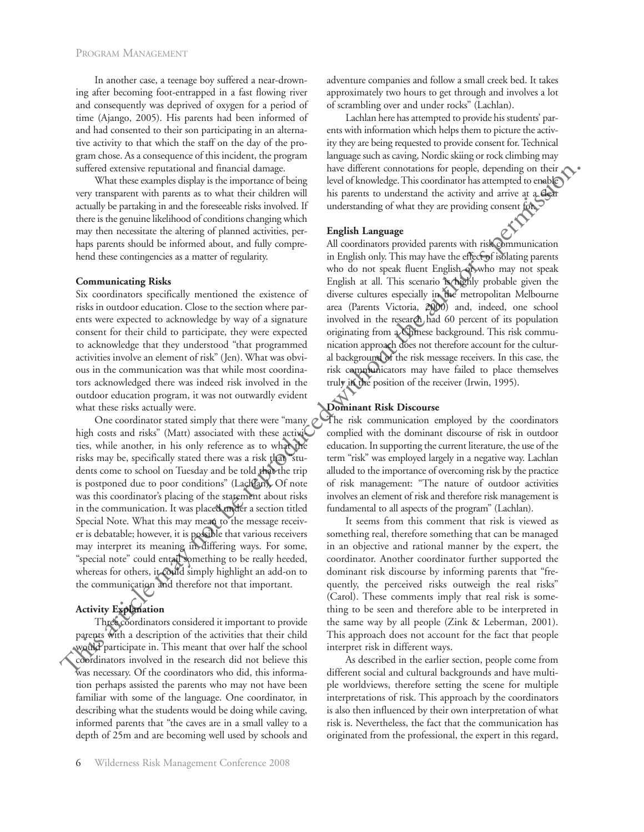In another case, a teenage boy suffered a near-drowning after becoming foot-entrapped in a fast flowing river and consequently was deprived of oxygen for a period of time (Ajango, 2005). His parents had been informed of and had consented to their son participating in an alternative activity to that which the staff on the day of the program chose. As a consequence of this incident, the program suffered extensive reputational and financial damage.

What these examples display is the importance of being very transparent with parents as to what their children will actually be partaking in and the foreseeable risks involved. If there is the genuine likelihood of conditions changing which may then necessitate the altering of planned activities, perhaps parents should be informed about, and fully comprehend these contingencies as a matter of regularity.

#### **Communicating Risks**

Six coordinators specifically mentioned the existence of risks in outdoor education. Close to the section where parents were expected to acknowledge by way of a signature consent for their child to participate, they were expected to acknowledge that they understood "that programmed activities involve an element of risk" (Jen). What was obvious in the communication was that while most coordinators acknowledged there was indeed risk involved in the outdoor education program, it was not outwardly evident what these risks actually were.

One coordinator stated simply that there were "many high costs and risks" (Matt) associated with these activities, while another, in his only reference as to what the risks may be, specifically stated there was a risk that "students come to school on Tuesday and be told that the trip is postponed due to poor conditions" (Lachlan). Of note was this coordinator's placing of the statement about risks in the communication. It was placed under a section titled Special Note. What this may mean to the message receiver is debatable; however, it is possible that various receivers may interpret its meaning in differing ways. For some, "special note" could entail something to be really heeded, whereas for others, it could simply highlight an add-on to the communication and therefore not that important. sufficed sometive representation was to we differed with the interest of permission is permission in the representation of the representation of the representation of the representation of the representation of the permis

#### **Activity Explanation**

Three coordinators considered it important to provide parents with a description of the activities that their child would participate in. This meant that over half the school coordinators involved in the research did not believe this was necessary. Of the coordinators who did, this information perhaps assisted the parents who may not have been familiar with some of the language. One coordinator, in describing what the students would be doing while caving, informed parents that "the caves are in a small valley to a depth of 25m and are becoming well used by schools and adventure companies and follow a small creek bed. It takes approximately two hours to get through and involves a lot of scrambling over and under rocks" (Lachlan).

Lachlan here has attempted to provide his students' parents with information which helps them to picture the activity they are being requested to provide consent for. Technical language such as caving, Nordic skiing or rock climbing may have different connotations for people, depending on their level of knowledge. This coordinator has attempted to enable his parents to understand the activity and arrive at a clear understanding of what they are providing consent for.

#### **English Language**

All coordinators provided parents with risk communication in English only. This may have the effect of isolating parents who do not speak fluent English or who may not speak English at all. This scenario is highly probable given the diverse cultures especially in the metropolitan Melbourne area (Parents Victoria, 2000) and, indeed, one school involved in the research had 60 percent of its population originating from a Chinese background. This risk communication approach does not therefore account for the cultural background of the risk message receivers. In this case, the risk communicators may have failed to place themselves truly in the position of the receiver (Irwin, 1995).

### **Dominant Risk Discourse**

The risk communication employed by the coordinators complied with the dominant discourse of risk in outdoor education. In supporting the current literature, the use of the term "risk" was employed largely in a negative way. Lachlan alluded to the importance of overcoming risk by the practice of risk management: "The nature of outdoor activities involves an element of risk and therefore risk management is fundamental to all aspects of the program" (Lachlan).

It seems from this comment that risk is viewed as something real, therefore something that can be managed in an objective and rational manner by the expert, the coordinator. Another coordinator further supported the dominant risk discourse by informing parents that "frequently, the perceived risks outweigh the real risks" (Carol). These comments imply that real risk is something to be seen and therefore able to be interpreted in the same way by all people (Zink & Leberman, 2001). This approach does not account for the fact that people interpret risk in different ways.

As described in the earlier section, people come from different social and cultural backgrounds and have multiple worldviews, therefore setting the scene for multiple interpretations of risk. This approach by the coordinators is also then influenced by their own interpretation of what risk is. Nevertheless, the fact that the communication has originated from the professional, the expert in this regard,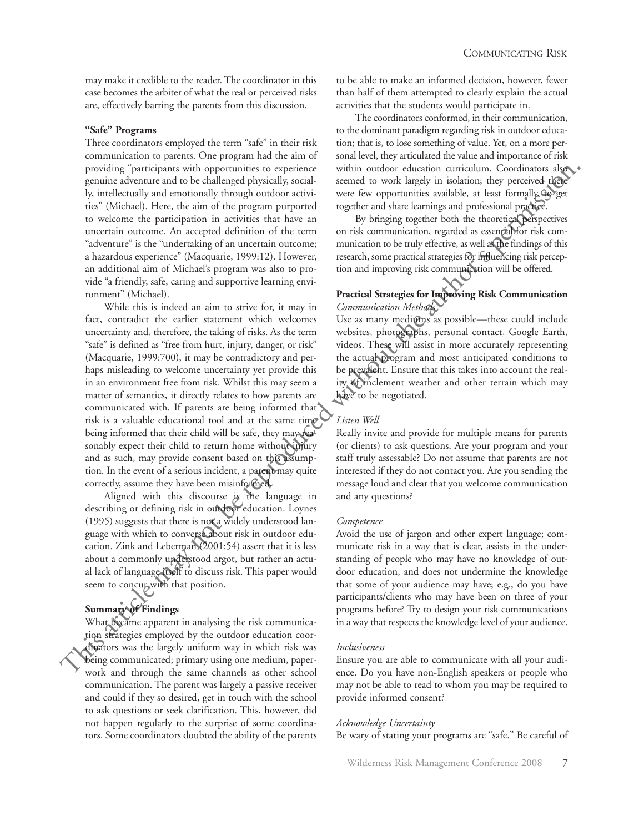may make it credible to the reader. The coordinator in this case becomes the arbiter of what the real or perceived risks are, effectively barring the parents from this discussion.

## **"Safe" Programs**

Three coordinators employed the term "safe" in their risk communication to parents. One program had the aim of providing "participants with opportunities to experience genuine adventure and to be challenged physically, socially, intellectually and emotionally through outdoor activities" (Michael). Here, the aim of the program purported to welcome the participation in activities that have an uncertain outcome. An accepted definition of the term "adventure" is the "undertaking of an uncertain outcome; a hazardous experience" (Macquarie, 1999:12). However, an additional aim of Michael's program was also to provide "a friendly, safe, caring and supportive learning environment" (Michael).

While this is indeed an aim to strive for, it may in fact, contradict the earlier statement which welcomes uncertainty and, therefore, the taking of risks. As the term "safe" is defined as "free from hurt, injury, danger, or risk" (Macquarie, 1999:700), it may be contradictory and perhaps misleading to welcome uncertainty yet provide this in an environment free from risk. Whilst this may seem a matter of semantics, it directly relates to how parents are communicated with. If parents are being informed that risk is a valuable educational tool and at the same time being informed that their child will be safe, they may reasonably expect their child to return home without injury and as such, may provide consent based on this assumption. In the event of a serious incident, a parent may quite correctly, assume they have been misinformed. provide recoiled and canonical to approximate the result in outselves which is a state for the results and canonical state is in and case of the results are the results are the results and canonical yields at the maximum s

Aligned with this discourse is the language in describing or defining risk in outdoor education. Loynes (1995) suggests that there is not a widely understood language with which to converse about risk in outdoor education. Zink and Leberman (2001:54) assert that it is less about a commonly understood argot, but rather an actual lack of language itself to discuss risk. This paper would seem to concur with that position.

#### **Summary of Findings**

What became apparent in analysing the risk communication strategies employed by the outdoor education coordinators was the largely uniform way in which risk was being communicated; primary using one medium, paperwork and through the same channels as other school communication. The parent was largely a passive receiver and could if they so desired, get in touch with the school to ask questions or seek clarification. This, however, did not happen regularly to the surprise of some coordinators. Some coordinators doubted the ability of the parents to be able to make an informed decision, however, fewer than half of them attempted to clearly explain the actual activities that the students would participate in.

The coordinators conformed, in their communication, to the dominant paradigm regarding risk in outdoor education; that is, to lose something of value. Yet, on a more personal level, they articulated the value and importance of risk within outdoor education curriculum. Coordinators also seemed to work largely in isolation; they perceived there were few opportunities available, at least formally, to get together and share learnings and professional practice.

By bringing together both the theoretical perspectives on risk communication, regarded as essential for risk communication to be truly effective, as well as the findings of this research, some practical strategies for influencing risk perception and improving risk communication will be offered.

# **Practical Strategies for Improving Risk Communication** *Communication Methods*

Use as many mediums as possible—these could include websites, photographs, personal contact, Google Earth, videos. These will assist in more accurately representing the actual program and most anticipated conditions to be prevalent. Ensure that this takes into account the reality of inclement weather and other terrain which may have to be negotiated.

## *Listen Well*

Really invite and provide for multiple means for parents (or clients) to ask questions. Are your program and your staff truly assessable? Do not assume that parents are not interested if they do not contact you. Are you sending the message loud and clear that you welcome communication and any questions?

## *Competence*

Avoid the use of jargon and other expert language; communicate risk in a way that is clear, assists in the understanding of people who may have no knowledge of outdoor education, and does not undermine the knowledge that some of your audience may have; e.g., do you have participants/clients who may have been on three of your programs before? Try to design your risk communications in a way that respects the knowledge level of your audience.

## *Inclusiveness*

Ensure you are able to communicate with all your audience. Do you have non-English speakers or people who may not be able to read to whom you may be required to provide informed consent?

# *Acknowledge Uncertainty* Be wary of stating your programs are "safe." Be careful of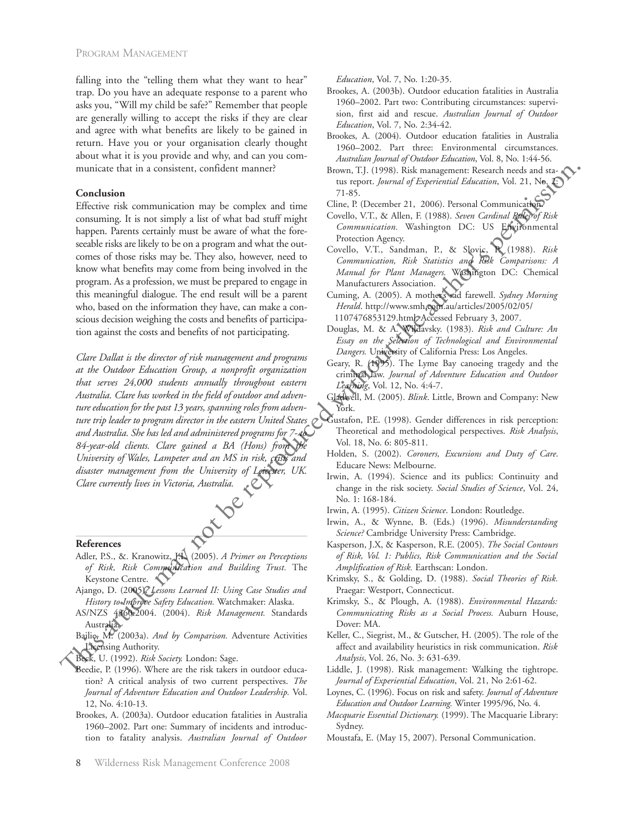falling into the "telling them what they want to hear" trap. Do you have an adequate response to a parent who asks you, "Will my child be safe?" Remember that people are generally willing to accept the risks if they are clear and agree with what benefits are likely to be gained in return. Have you or your organisation clearly thought about what it is you provide and why, and can you communicate that in a consistent, confident manner?

#### **Conclusion**

Effective risk communication may be complex and time consuming. It is not simply a list of what bad stuff might happen. Parents certainly must be aware of what the foreseeable risks are likely to be on a program and what the outcomes of those risks may be. They also, however, need to know what benefits may come from being involved in the program. As a profession, we must be prepared to engage in this meaningful dialogue. The end result will be a parent who, based on the information they have, can make a conscious decision weighing the costs and benefits of participation against the costs and benefits of not participating.

*Clare Dallat is the director of risk management and programs at the Outdoor Education Group, a nonprofit organization that serves 24,000 students annually throughout eastern Australia. Clare has worked in the field of outdoor and adventure education for the past 13 years, spanning roles from adventure trip leader to program director in the eastern United States and Australia. She has led and administered programs for 7- to 84-year-old clients. Clare gained a BA (Hons) from the University of Wales, Lampeter and an MS in risk, crisis and disaster management from the University of Leicester, UK. Clare currently lives in Victoria, Australia.* manicale that in a consistent, confident unnmer?<br> **Examples are the reproduced mass are defined as the constraints are defined by the simulation of the simulation of the simulation of the simulation of the simulation of t** 

#### **References**

- Adler, P.S., &. Kranowitz, J.L. (2005). *A Primer on Perceptions of Risk, Risk Communication and Building Trust.* The Keystone Centre.
- Ajango, D. (2005). *Lessons Learned II: Using Case Studies and History to Improve Safety Education.* Watchmaker: Alaska.
- AS/NZS 4360:2004. (2004). *Risk Management.* Standards Australia.
- Bailie, M. (2003a). *And by Comparison.* Adventure Activities Licensing Authority.
- Beck, U. (1992). *Risk Society.* London: Sage.
- Beedie, P. (1996). Where are the risk takers in outdoor education? A critical analysis of two current perspectives. *The Journal of Adventure Education and Outdoor Leadership.* Vol. 12, No. 4:10-13.
- Brookes, A. (2003a). Outdoor education fatalities in Australia 1960–2002. Part one: Summary of incidents and introduction to fatality analysis. *Australian Journal of Outdoor*

*Education*, Vol. 7, No. 1:20-35.

- Brookes, A. (2003b). Outdoor education fatalities in Australia 1960–2002. Part two: Contributing circumstances: supervision, first aid and rescue. *Australian Journal of Outdoor Education*, Vol. 7, No. 2:34-42.
- Brookes, A. (2004). Outdoor education fatalities in Australia 1960–2002. Part three: Environmental circumstances. *Australian Journal of Outdoor Education*, Vol. 8, No. 1:44-56.
- Brown, T.J. (1998). Risk management: Research needs and status report. *Journal of Experiential Education*, Vol. 21, No. 2: 71-85.
- Cline, P. (December 21, 2006). Personal Communication.
- Covello, V.T., & Allen, F. (1988). *Seven Cardinal Rules of Risk Communication.* Washington DC: US Environmental Protection Agency.
- Covello, V.T., Sandman, P., & Slovic, P. (1988). *Risk Communication, Risk Statistics and Risk Comparisons: A Manual for Plant Managers.* Washington DC: Chemical Manufacturers Association.
- Cuming, A. (2005). A mother's sad farewell. *Sydney Morning Herald*. http://www.smh.com.au/articles/2005/02/05/ 1107476853129.html. Accessed February 3, 2007.
- Douglas, M. & A. Wildavsky. (1983). *Risk and Culture: An Essay on the Selection of Technological and Environmental Dangers.* University of California Press: Los Angeles.
- Geary, R. (1995). The Lyme Bay canoeing tragedy and the criminal law. *Journal of Adventure Education and Outdoor Learning*, Vol. 12, No. 4:4-7.
- Gladwell, M. (2005). *Blink*. Little, Brown and Company: New York.
- Gustafon, P.E. (1998). Gender differences in risk perception: Theoretical and methodological perspectives. *Risk Analysis*, Vol. 18, No. 6: 805-811.
- Holden, S. (2002). *Coroners, Excursions and Duty of Care*. Educare News: Melbourne.
- Irwin, A. (1994). Science and its publics: Continuity and change in the risk society. *Social Studies of Science*, Vol. 24, No. 1: 168-184.
- Irwin, A. (1995). *Citizen Science*. London: Routledge.
- Irwin, A., & Wynne, B. (Eds.) (1996). *Misunderstanding Science?* Cambridge University Press: Cambridge.
- Kasperson, J.X, & Kasperson, R.E. (2005). *The Social Contours of Risk, Vol. 1: Publics, Risk Communication and the Social Amplification of Risk.* Earthscan: London.
- Krimsky, S., & Golding, D. (1988). *Social Theories of Risk.* Praegar: Westport, Connecticut.
- Krimsky, S., & Plough, A. (1988). *Environmental Hazards: Communicating Risks as a Social Process.* Auburn House, Dover: MA.
- Keller, C., Siegrist, M., & Gutscher, H. (2005). The role of the affect and availability heuristics in risk communication. *Risk Analysis*, Vol. 26, No. 3: 631-639.
- Liddle, J. (1998). Risk management: Walking the tightrope. *Journal of Experiential Education*, Vol. 21, No 2:61-62.
- Loynes, C. (1996). Focus on risk and safety. *Journal of Adventure Education and Outdoor Learning.* Winter 1995/96, No. 4.
- *Macquarie Essential Dictionary.* (1999). The Macquarie Library: Sydney.
- Moustafa, E. (May 15, 2007). Personal Communication.